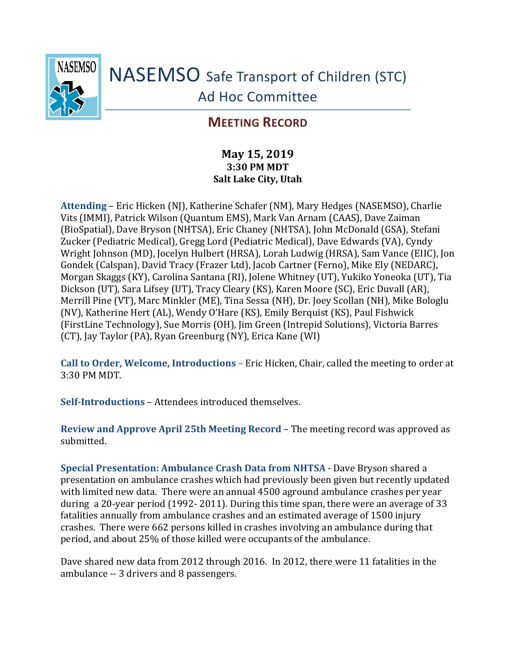

NASEMSO Safe Transport of Children (STC) Ad Hoc Committee

## **MEETING RECORD**

## **May 15, 2019 3:30 PM MDT Salt Lake City, Utah**

**Attending** – Eric Hicken (NJ), Katherine Schafer (NM), Mary Hedges (NASEMSO), Charlie Vits (IMMI), Patrick Wilson (Quantum EMS), Mark Van Arnam (CAAS), Dave Zaiman (BioSpatial), Dave Bryson (NHTSA), Eric Chaney (NHTSA), John McDonald (GSA), Stefani Zucker (Pediatric Medical), Gregg Lord (Pediatric Medical), Dave Edwards (VA), Cyndy Wright Johnson (MD), Jocelyn Hulbert (HRSA), Lorah Ludwig (HRSA), Sam Vance (EIIC), Jon Gondek (Calspan), David Tracy (Frazer Ltd), Jacob Cartner (Ferno), Mike Ely (NEDARC), Morgan Skaggs (KY), Carolina Santana (RI), Jolene Whitney (UT), Yukiko Yoneoka (UT), Tia Dickson (UT), Sara Lifsey (UT), Tracy Cleary (KS), Karen Moore (SC), Eric Duvall (AR), Merrill Pine (VT), Marc Minkler (ME), Tina Sessa (NH), Dr. Joey Scollan (NH), Mike Bologlu (NV), Katherine Hert (AL), Wendy O'Hare (KS), Emily Berquist (KS), Paul Fishwick (FirstLine Technology), Sue Morris (OH), Jim Green (Intrepid Solutions), Victoria Barres (CT), Jay Taylor (PA), Ryan Greenburg (NY), Erica Kane (WI)

**Call to Order, Welcome, Introductions** – Eric Hicken, Chair, called the meeting to order at 3:30 PM MDT.

**Self-Introductions** – Attendees introduced themselves.

**Review and Approve April 25th Meeting Record** – The meeting record was approved as submitted.

**Special Presentation: Ambulance Crash Data from NHTSA** - Dave Bryson shared a presentation on ambulance crashes which had previously been given but recently updated with limited new data. There were an annual 4500 aground ambulance crashes per year during a 20-year period (1992- 2011). During this time span, there were an average of 33 fatalities annually from ambulance crashes and an estimated average of 1500 injury crashes. There were 662 persons killed in crashes involving an ambulance during that period, and about 25% of those killed were occupants of the ambulance.

Dave shared new data from 2012 through 2016. In 2012, there were 11 fatalities in the ambulance -- 3 drivers and 8 passengers.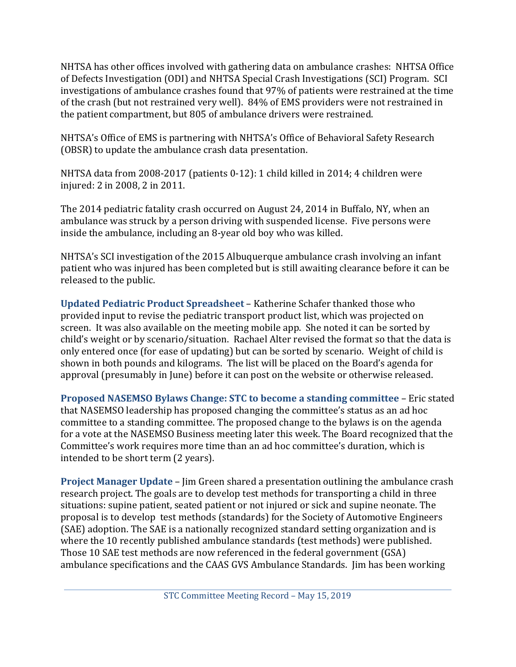NHTSA has other offices involved with gathering data on ambulance crashes: NHTSA Office of Defects Investigation (ODI) and NHTSA Special Crash Investigations (SCI) Program. SCI investigations of ambulance crashes found that 97% of patients were restrained at the time of the crash (but not restrained very well). 84% of EMS providers were not restrained in the patient compartment, but 805 of ambulance drivers were restrained.

NHTSA's Office of EMS is partnering with NHTSA's Office of Behavioral Safety Research (OBSR) to update the ambulance crash data presentation.

NHTSA data from 2008-2017 (patients 0-12): 1 child killed in 2014; 4 children were injured: 2 in 2008, 2 in 2011.

The 2014 pediatric fatality crash occurred on August 24, 2014 in Buffalo, NY, when an ambulance was struck by a person driving with suspended license. Five persons were inside the ambulance, including an 8-year old boy who was killed.

NHTSA's SCI investigation of the 2015 Albuquerque ambulance crash involving an infant patient who was injured has been completed but is still awaiting clearance before it can be released to the public.

**Updated Pediatric Product Spreadsheet** – Katherine Schafer thanked those who provided input to revise the pediatric transport product list, which was projected on screen. It was also available on the meeting mobile app. She noted it can be sorted by child's weight or by scenario/situation. Rachael Alter revised the format so that the data is only entered once (for ease of updating) but can be sorted by scenario. Weight of child is shown in both pounds and kilograms. The list will be placed on the Board's agenda for approval (presumably in June) before it can post on the website or otherwise released.

**Proposed NASEMSO Bylaws Change: STC to become a standing committee** – Eric stated that NASEMSO leadership has proposed changing the committee's status as an ad hoc committee to a standing committee. The proposed change to the bylaws is on the agenda for a vote at the NASEMSO Business meeting later this week. The Board recognized that the Committee's work requires more time than an ad hoc committee's duration, which is intended to be short term (2 years).

**Project Manager Update** – Jim Green shared a presentation outlining the ambulance crash research project. The goals are to develop test methods for transporting a child in three situations: supine patient, seated patient or not injured or sick and supine neonate. The proposal is to develop test methods (standards) for the Society of Automotive Engineers (SAE) adoption. The SAE is a nationally recognized standard setting organization and is where the 10 recently published ambulance standards (test methods) were published. Those 10 SAE test methods are now referenced in the federal government (GSA) ambulance specifications and the CAAS GVS Ambulance Standards. Jim has been working